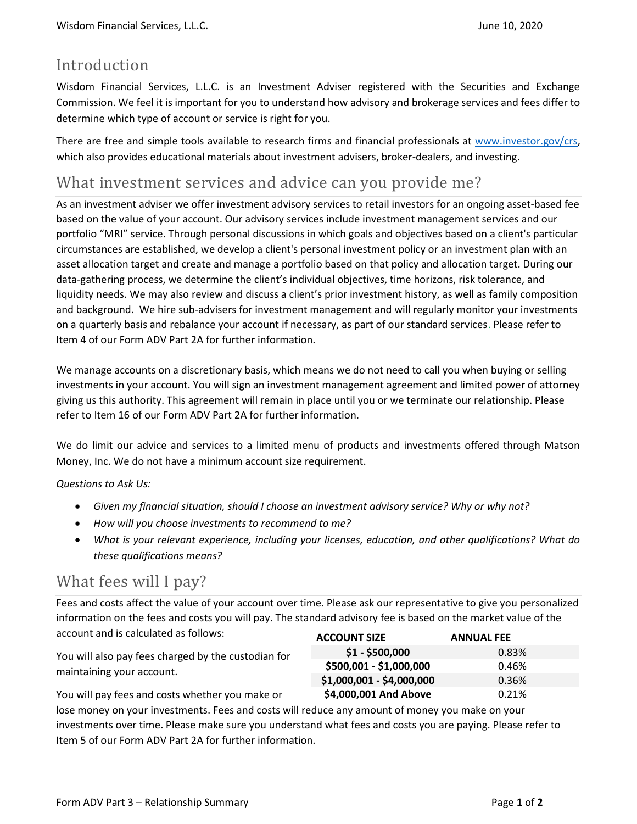### Introduction

Wisdom Financial Services, L.L.C. is an Investment Adviser registered with the Securities and Exchange Commission. We feel it is important for you to understand how advisory and brokerage services and fees differ to determine which type of account or service is right for you.

There are free and simple tools available to research firms and financial professionals at www.investor.gov/crs, which also provides educational materials about investment advisers, broker-dealers, and investing.

### What investment services and advice can you provide me?

As an investment adviser we offer investment advisory services to retail investors for an ongoing asset-based fee based on the value of your account. Our advisory services include investment management services and our portfolio "MRI" service. Through personal discussions in which goals and objectives based on a client's particular circumstances are established, we develop a client's personal investment policy or an investment plan with an asset allocation target and create and manage a portfolio based on that policy and allocation target. During our data-gathering process, we determine the client's individual objectives, time horizons, risk tolerance, and liquidity needs. We may also review and discuss a client's prior investment history, as well as family composition and background. We hire sub-advisers for investment management and will regularly monitor your investments on a quarterly basis and rebalance your account if necessary, as part of our standard services. Please refer to Item 4 of our Form ADV Part 2A for further information.

We manage accounts on a discretionary basis, which means we do not need to call you when buying or selling investments in your account. You will sign an investment management agreement and limited power of attorney giving us this authority. This agreement will remain in place until you or we terminate our relationship. Please refer to Item 16 of our Form ADV Part 2A for further information.

We do limit our advice and services to a limited menu of products and investments offered through Matson Money, Inc. We do not have a minimum account size requirement.

Questions to Ask Us:

- Given my financial situation, should I choose an investment advisory service? Why or why not?
- How will you choose investments to recommend to me?
- What is your relevant experience, including your licenses, education, and other qualifications? What do these qualifications means?

### What fees will I pay?

Fees and costs affect the value of your account over time. Please ask our representative to give you personalized information on the fees and costs you will pay. The standard advisory fee is based on the market value of the account and is calculated as follows:

You will also pay fees charged by the custodian for maintaining your account.

You will pay fees and costs whether you make or

| <b>ACCOUNT SIZE</b>       | <b>ANNUAL FEE</b> |
|---------------------------|-------------------|
| $$1 - $500,000$           | 0.83%             |
| \$500,001 - \$1,000,000   | 0.46%             |
| \$1,000,001 - \$4,000,000 | 0.36%             |
| \$4,000,001 And Above     | 0.21%             |

lose money on your investments. Fees and costs will reduce any amount of money you make on your investments over time. Please make sure you understand what fees and costs you are paying. Please refer to Item 5 of our Form ADV Part 2A for further information.